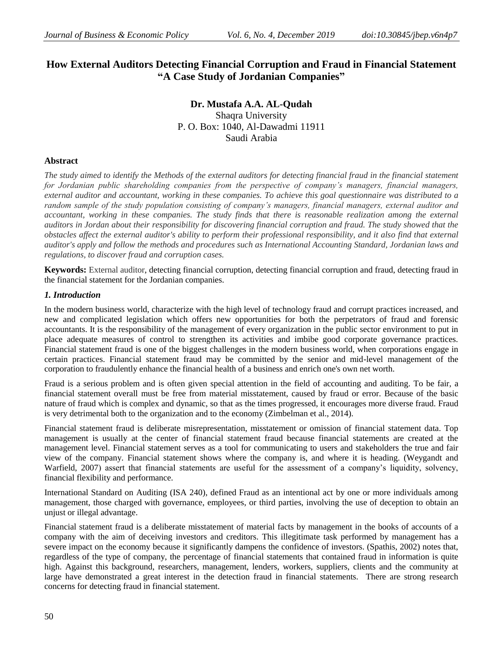# **How External Auditors Detecting Financial Corruption and Fraud in Financial Statement "A Case Study of Jordanian Companies"**

**Dr. Mustafa A.A. AL-Qudah** Shaqra University P. O. Box: 1040, Al-Dawadmi 11911 Saudi Arabia

### **Abstract**

*The study aimed to identify the Methods of the external auditors for detecting financial fraud in the financial statement for Jordanian public shareholding companies from the perspective of company's managers, financial managers, external auditor and accountant, working in these companies. To achieve this goal questionnaire was distributed to a*  random sample of the study population consisting of company's managers, financial managers, external auditor and *accountant, working in these companies. The study finds that there is reasonable realization among the external auditors in Jordan about their responsibility for discovering financial corruption and fraud. The study showed that the obstacles affect the external auditor's ability to perform their professional responsibility, and it also find that external auditor's apply and follow the methods and procedures such as International Accounting Standard, Jordanian laws and regulations, to discover fraud and corruption cases.*

**Keywords:** External auditor, detecting financial corruption, detecting financial corruption and fraud, detecting fraud in the financial statement for the Jordanian companies.

### *1. Introduction*

In the modern business world, characterize with the high level of technology fraud and corrupt practices increased, and new and complicated legislation which offers new opportunities for both the perpetrators of fraud and forensic accountants. It is the responsibility of the management of every organization in the public sector environment to put in place adequate measures of control to strengthen its activities and imbibe good corporate governance practices. Financial statement fraud is one of the biggest challenges in the modern business world, when corporations engage in certain practices. Financial statement fraud may be committed by the senior and mid-level management of the corporation to fraudulently enhance the financial health of a business and enrich one's own net worth.

Fraud is a serious problem and is often given special attention in the field of accounting and auditing. To be fair, a financial statement overall must be free from material misstatement, caused by fraud or error. Because of the basic nature of fraud which is complex and dynamic, so that as the times progressed, it encourages more diverse fraud. Fraud is very detrimental both to the organization and to the economy (Zimbelman et al., 2014).

Financial statement fraud is deliberate misrepresentation, misstatement or omission of financial statement data. Top management is usually at the center of financial statement fraud because financial statements are created at the management level. Financial statement serves as a tool for communicating to users and stakeholders the true and fair view of the company. Financial statement shows where the company is, and where it is heading. (Weygandt and Warfield, 2007) assert that financial statements are useful for the assessment of a company's liquidity, solvency, financial flexibility and performance.

International Standard on Auditing (ISA 240), defined Fraud as an intentional act by one or more individuals among management, those charged with governance, employees, or third parties, involving the use of deception to obtain an unjust or illegal advantage.

Financial statement fraud is a deliberate misstatement of material facts by management in the books of accounts of a company with the aim of deceiving investors and creditors. This illegitimate task performed by management has a severe impact on the economy because it significantly dampens the confidence of investors. (Spathis, 2002) notes that, regardless of the type of company, the percentage of financial statements that contained fraud in information is quite high. Against this background, researchers, management, lenders, workers, suppliers, clients and the community at large have demonstrated a great interest in the detection fraud in financial statements. There are strong research concerns for detecting fraud in financial statement.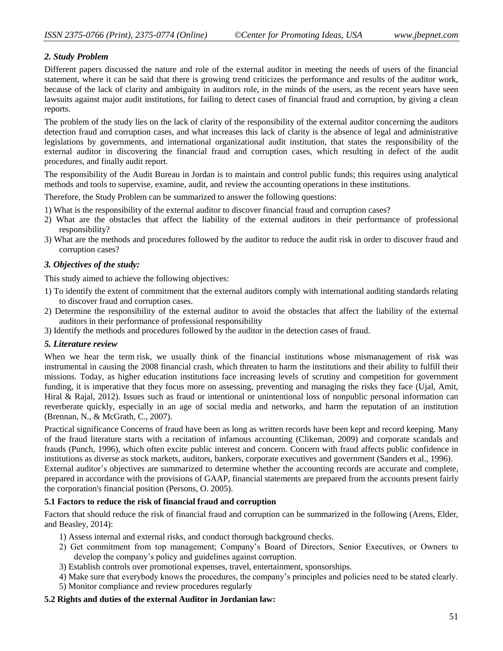# *2. Study Problem*

Different papers discussed the nature and role of the external auditor in meeting the needs of users of the financial statement, where it can be said that there is growing trend criticizes the performance and results of the auditor work, because of the lack of clarity and ambiguity in auditors role, in the minds of the users, as the recent years have seen lawsuits against major audit institutions, for failing to detect cases of financial fraud and corruption, by giving a clean reports.

The problem of the study lies on the lack of clarity of the responsibility of the external auditor concerning the auditors detection fraud and corruption cases, and what increases this lack of clarity is the absence of legal and administrative legislations by governments, and international organizational audit institution, that states the responsibility of the external auditor in discovering the financial fraud and corruption cases, which resulting in defect of the audit procedures, and finally audit report.

The responsibility of the Audit Bureau in Jordan is to maintain and control public funds; this requires using analytical methods and tools to supervise, examine, audit, and review the accounting operations in these institutions.

Therefore, the Study Problem can be summarized to answer the following questions:

- 1) What is the responsibility of the external auditor to discover financial fraud and corruption cases?
- 2) What are the obstacles that affect the liability of the external auditors in their performance of professional responsibility?
- 3) What are the methods and procedures followed by the auditor to reduce the audit risk in order to discover fraud and corruption cases?

### *3. Objectives of the study:*

This study aimed to achieve the following objectives:

- 1) To identify the extent of commitment that the external auditors comply with international auditing standards relating to discover fraud and corruption cases.
- 2) Determine the responsibility of the external auditor to avoid the obstacles that affect the liability of the external auditors in their performance of professional responsibility
- 3) Identify the methods and procedures followed by the auditor in the detection cases of fraud.

#### *5. Literature review*

When we hear the term risk, we usually think of the financial institutions whose mismanagement of risk was instrumental in causing the 2008 financial crash, which threaten to harm the institutions and their ability to fulfill their missions. Today, as higher education institutions face increasing levels of scrutiny and competition for government funding, it is imperative that they focus more on assessing, preventing and managing the risks they face (Ujal, Amit, Hiral & Rajal, 2012). Issues such as fraud or intentional or unintentional loss of nonpublic personal information can reverberate quickly, especially in an age of social media and networks, and harm the reputation of an institution (Brennan, N., & McGrath, C., 2007).

Practical significance Concerns of fraud have been as long as written records have been kept and record keeping. Many of the fraud literature starts with a recitation of infamous accounting (Clikeman, 2009) and corporate scandals and frauds (Punch, 1996), which often excite public interest and concern. Concern with fraud affects public confidence in institutions as diverse as stock markets, auditors, bankers, corporate executives and government (Sanders et al., 1996). External auditor's objectives are summarized to determine whether the accounting records are accurate and complete, prepared in accordance with the provisions of GAAP, financial statements are prepared from the accounts present fairly the corporation's financial position (Persons, O. 2005).

### **5.1 Factors to reduce the risk of financial fraud and corruption**

Factors that should reduce the risk of financial fraud and corruption can be summarized in the following (Arens, Elder, and Beasley, 2014):

- 1) Assess internal and external risks, and conduct thorough background checks.
- 2) Get commitment from top management; Company's Board of Directors, Senior Executives, or Owners to develop the company's policy and guidelines against corruption.
- 3) Establish controls over promotional expenses, travel, entertainment, sponsorships.
- 4) Make sure that everybody knows the procedures, the company's principles and policies need to be stated clearly.
- 5) Monitor compliance and review procedures regularly

### **5.2 Rights and duties of the external Auditor in Jordanian law:**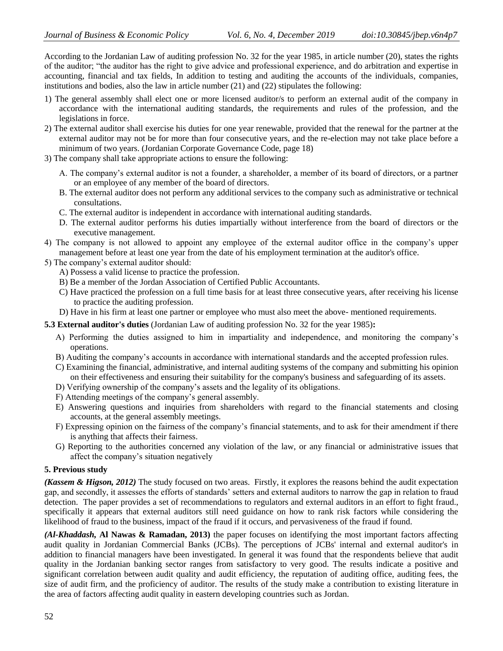According to the Jordanian Law of auditing profession No. 32 for the year 1985, in article number (20), states the rights of the auditor; "the auditor has the right to give advice and professional experience, and do arbitration and expertise in accounting, financial and tax fields, In addition to testing and auditing the accounts of the individuals, companies, institutions and bodies, also the law in article number (21) and (22) stipulates the following:

- 1) The general assembly shall elect one or more licensed auditor/s to perform an external audit of the company in accordance with the international auditing standards, the requirements and rules of the profession, and the legislations in force.
- 2) The external auditor shall exercise his duties for one year renewable, provided that the renewal for the partner at the external auditor may not be for more than four consecutive years, and the re-election may not take place before a minimum of two years. (Jordanian Corporate Governance Code, page 18)
- 3) The company shall take appropriate actions to ensure the following:
	- A. The company's external auditor is not a founder, a shareholder, a member of its board of directors, or a partner or an employee of any member of the board of directors.
	- B. The external auditor does not perform any additional services to the company such as administrative or technical consultations.
	- C. The external auditor is independent in accordance with international auditing standards.
	- D. The external auditor performs his duties impartially without interference from the board of directors or the executive management.
- 4) The company is not allowed to appoint any employee of the external auditor office in the company's upper management before at least one year from the date of his employment termination at the auditor's office.
- 5) The company's external auditor should:
	- A) Possess a valid license to practice the profession.
	- B) Be a member of the Jordan Association of Certified Public Accountants.
	- C) Have practiced the profession on a full time basis for at least three consecutive years, after receiving his license to practice the auditing profession.
	- D) Have in his firm at least one partner or employee who must also meet the above- mentioned requirements.

**5.3 External auditor's duties** (Jordanian Law of auditing profession No. 32 for the year 1985)**:** 

- A) Performing the duties assigned to him in impartiality and independence, and monitoring the company's operations.
- B) Auditing the company's accounts in accordance with international standards and the accepted profession rules.
- C) Examining the financial, administrative, and internal auditing systems of the company and submitting his opinion on their effectiveness and ensuring their suitability for the company's business and safeguarding of its assets.
- D) Verifying ownership of the company's assets and the legality of its obligations.
- F) Attending meetings of the company's general assembly.
- E) Answering questions and inquiries from shareholders with regard to the financial statements and closing accounts, at the general assembly meetings.
- F) Expressing opinion on the fairness of the company's financial statements, and to ask for their amendment if there is anything that affects their fairness.
- G) Reporting to the authorities concerned any violation of the law, or any financial or administrative issues that affect the company's situation negatively

#### **5. Previous study**

*(Kassem & Higson, 2012)* The study focused on two areas. Firstly, it explores the reasons behind the audit expectation gap, and secondly, it assesses the efforts of standards' setters and external auditors to narrow the gap in relation to fraud detection. The paper provides a set of recommendations to regulators and external auditors in an effort to fight fraud., specifically it appears that external auditors still need guidance on how to rank risk factors while considering the likelihood of fraud to the business, impact of the fraud if it occurs, and pervasiveness of the fraud if found.

*(Al-Khaddash,* **Al Nawas & Ramadan, 2013)** the paper focuses on identifying the most important factors affecting audit quality in Jordanian Commercial Banks (JCBs). The perceptions of JCBs' internal and external auditor's in addition to financial managers have been investigated. In general it was found that the respondents believe that audit quality in the Jordanian banking sector ranges from satisfactory to very good. The results indicate a positive and significant correlation between audit quality and audit efficiency, the reputation of auditing office, auditing fees, the size of audit firm, and the proficiency of auditor. The results of the study make a contribution to existing literature in the area of factors affecting audit quality in eastern developing countries such as Jordan.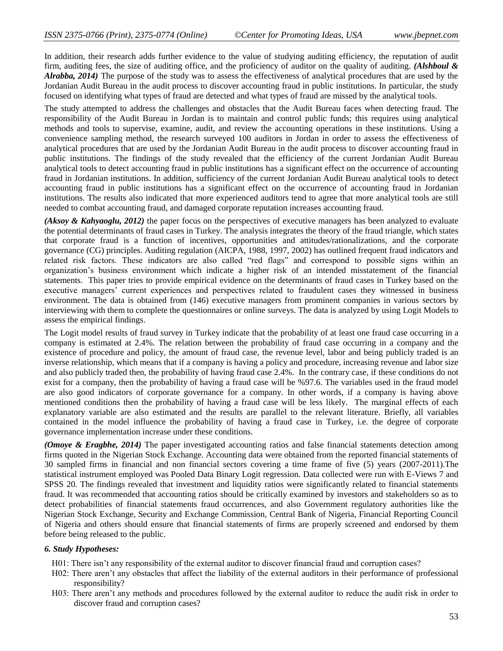In addition, their research adds further evidence to the value of studying auditing efficiency, the reputation of audit firm, auditing fees, the size of auditing office, and the proficiency of auditor on the quality of auditing. *(Alshboul & Alrabba, 2014)* The purpose of the study was to assess the effectiveness of analytical procedures that are used by the Jordanian Audit Bureau in the audit process to discover accounting fraud in public institutions. In particular, the study focused on identifying what types of fraud are detected and what types of fraud are missed by the analytical tools.

The study attempted to address the challenges and obstacles that the Audit Bureau faces when detecting fraud. The responsibility of the Audit Bureau in Jordan is to maintain and control public funds; this requires using analytical methods and tools to supervise, examine, audit, and review the accounting operations in these institutions. Using a convenience sampling method, the research surveyed 100 auditors in Jordan in order to assess the effectiveness of analytical procedures that are used by the Jordanian Audit Bureau in the audit process to discover accounting fraud in public institutions. The findings of the study revealed that the efficiency of the current Jordanian Audit Bureau analytical tools to detect accounting fraud in public institutions has a significant effect on the occurrence of accounting fraud in Jordanian institutions. In addition, sufficiency of the current Jordanian Audit Bureau analytical tools to detect accounting fraud in public institutions has a significant effect on the occurrence of accounting fraud in Jordanian institutions. The results also indicated that more experienced auditors tend to agree that more analytical tools are still needed to combat accounting fraud, and damaged corporate reputation increases accounting fraud.

*(Aksoy & Kahyaoglu, 2012)* the paper focus on the perspectives of executive managers has been analyzed to evaluate the potential determinants of fraud cases in Turkey. The analysis integrates the theory of the fraud triangle, which states that corporate fraud is a function of incentives, opportunities and attitudes/rationalizations, and the corporate governance (CG) principles. Auditing regulation (AICPA, 1988, 1997, 2002) has outlined frequent fraud indicators and related risk factors. These indicators are also called "red flags" and correspond to possible signs within an organization's business environment which indicate a higher risk of an intended misstatement of the financial statements. This paper tries to provide empirical evidence on the determinants of fraud cases in Turkey based on the executive managers' current experiences and perspectives related to fraudulent cases they witnessed in business environment. The data is obtained from (146) executive managers from prominent companies in various sectors by interviewing with them to complete the questionnaires or online surveys. The data is analyzed by using Logit Models to assess the empirical findings.

The Logit model results of fraud survey in Turkey indicate that the probability of at least one fraud case occurring in a company is estimated at 2.4%. The relation between the probability of fraud case occurring in a company and the existence of procedure and policy, the amount of fraud case, the revenue level, labor and being publicly traded is an inverse relationship, which means that if a company is having a policy and procedure, increasing revenue and labor size and also publicly traded then, the probability of having fraud case 2.4%. In the contrary case, if these conditions do not exist for a company, then the probability of having a fraud case will be %97.6. The variables used in the fraud model are also good indicators of corporate governance for a company. In other words, if a company is having above mentioned conditions then the probability of having a fraud case will be less likely. The marginal effects of each explanatory variable are also estimated and the results are parallel to the relevant literature. Briefly, all variables contained in the model influence the probability of having a fraud case in Turkey, i.e. the degree of corporate governance implementation increase under these conditions.

*(Omoye & Eragbhe, 2014)* The paper investigated accounting ratios and false financial statements detection among firms quoted in the Nigerian Stock Exchange. Accounting data were obtained from the reported financial statements of 30 sampled firms in financial and non financial sectors covering a time frame of five (5) years (2007-2011).The statistical instrument employed was Pooled Data Binary Logit regression. Data collected were run with E-Views 7 and SPSS 20. The findings revealed that investment and liquidity ratios were significantly related to financial statements fraud. It was recommended that accounting ratios should be critically examined by investors and stakeholders so as to detect probabilities of financial statements fraud occurrences, and also Government regulatory authorities like the Nigerian Stock Exchange, Security and Exchange Commission, Central Bank of Nigeria, Financial Reporting Council of Nigeria and others should ensure that financial statements of firms are properly screened and endorsed by them before being released to the public.

#### *6. Study Hypotheses:*

- H01: There isn't any responsibility of the external auditor to discover financial fraud and corruption cases?
- H02: There aren't any obstacles that affect the liability of the external auditors in their performance of professional responsibility?
- H03: There aren't any methods and procedures followed by the external auditor to reduce the audit risk in order to discover fraud and corruption cases?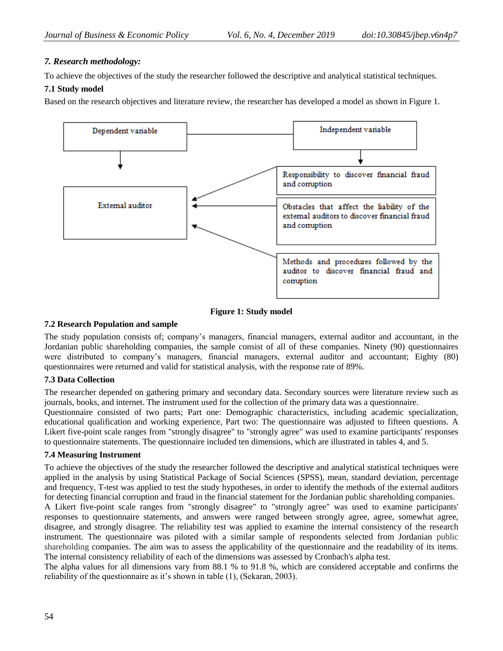# *7. Research methodology:*

To achieve the objectives of the study the researcher followed the descriptive and analytical statistical techniques.

# **7.1 Study model**

Based on the research objectives and literature review, the researcher has developed a model as shown in Figure 1.



### **Figure 1: Study model**

#### **7.2 Research Population and sample**

The study population consists of; company's managers, financial managers, external auditor and accountant, in the Jordanian public shareholding companies, the sample consist of all of these companies. Ninety (90) questionnaires were distributed to company's managers, financial managers, external auditor and accountant; Eighty (80) questionnaires were returned and valid for statistical analysis, with the response rate of 89%.

### **7.3 Data Collection**

The researcher depended on gathering primary and secondary data. Secondary sources were literature review such as journals, books, and internet. The instrument used for the collection of the primary data was a questionnaire.

Questionnaire consisted of two parts; Part one: Demographic characteristics, including academic specialization, educational qualification and working experience, Part two: The questionnaire was adjusted to fifteen questions. A Likert five-point scale ranges from "strongly disagree" to "strongly agree" was used to examine participants' responses to questionnaire statements. The questionnaire included ten dimensions, which are illustrated in tables 4, and 5.

### **7.4 Measuring Instrument**

To achieve the objectives of the study the researcher followed the descriptive and analytical statistical techniques were applied in the analysis by using Statistical Package of Social Sciences (SPSS), mean, standard deviation, percentage and frequency, T-test was applied to test the study hypotheses, in order to identify the methods of the external auditors for detecting financial corruption and fraud in the financial statement for the Jordanian public shareholding companies.

A Likert five-point scale ranges from "strongly disagree" to "strongly agree" was used to examine participants' responses to questionnaire statements, and answers were ranged between strongly agree, agree, somewhat agree, disagree, and strongly disagree. The reliability test was applied to examine the internal consistency of the research instrument. The questionnaire was piloted with a similar sample of respondents selected from Jordanian public shareholding companies. The aim was to assess the applicability of the questionnaire and the readability of its items. The internal consistency reliability of each of the dimensions was assessed by Cronbach's alpha test.

The alpha values for all dimensions vary from 88.1 % to 91.8 %, which are considered acceptable and confirms the reliability of the questionnaire as it's shown in table (1), (Sekaran, 2003).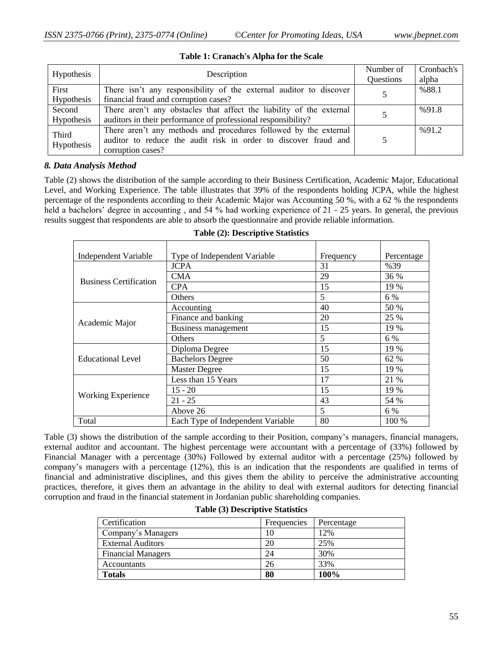| Hypothesis<br>Description |                                                                      | Number of | Cronbach's |
|---------------------------|----------------------------------------------------------------------|-----------|------------|
|                           |                                                                      |           | alpha      |
| First                     | There isn't any responsibility of the external auditor to discover   |           | %88.1      |
| Hypothesis                | financial fraud and corruption cases?                                |           |            |
| Second                    | There aren't any obstacles that affect the liability of the external |           | %91.8      |
| <b>Hypothesis</b>         | auditors in their performance of professional responsibility?        |           |            |
|                           | There aren't any methods and procedures followed by the external     |           | %91.2      |
| Third                     | auditor to reduce the audit risk in order to discover fraud and      |           |            |
| Hypothesis                | corruption cases?                                                    |           |            |

#### **Table 1: Cranach's Alpha for the Scale**

#### *8. Data Analysis Method*

Table (2) shows the distribution of the sample according to their Business Certification, Academic Major, Educational Level, and Working Experience. The table illustrates that 39% of the respondents holding JCPA, while the highest percentage of the respondents according to their Academic Major was Accounting 50 %, with a 62 % the respondents held a bachelors' degree in accounting, and 54 % had working experience of 21 - 25 years. In general, the previous results suggest that respondents are able to absorb the questionnaire and provide reliable information.

| Independent Variable<br>Type of Independent Variable |                                   | Frequency | Percentage |
|------------------------------------------------------|-----------------------------------|-----------|------------|
|                                                      | <b>JCPA</b>                       | 31        | %39        |
|                                                      | <b>CMA</b>                        | 29        | 36 %       |
| <b>Business Certification</b>                        | <b>CPA</b>                        | 15        | 19 %       |
|                                                      | Others                            | 5         | 6 %        |
|                                                      | Accounting                        | 40        | 50 %       |
|                                                      | Finance and banking               | 20        | 25 %       |
| Academic Major                                       | Business management               | 15        | 19 %       |
|                                                      | Others                            | 5         | 6 %        |
|                                                      | Diploma Degree                    | 15        | 19 %       |
| <b>Educational Level</b>                             | <b>Bachelors Degree</b>           | 50        | 62 %       |
|                                                      | <b>Master Degree</b>              | 15        | 19 %       |
|                                                      | Less than 15 Years                | 17        | 21 %       |
| <b>Working Experience</b>                            | $15 - 20$                         | 15        | 19 %       |
|                                                      | $21 - 25$                         | 43        | 54 %       |
|                                                      | Above 26                          | 5         | 6 %        |
| Total                                                | Each Type of Independent Variable | 80        | 100 %      |

#### **Table (2): Descriptive Statistics**

Table (3) shows the distribution of the sample according to their Position, company's managers, financial managers, external auditor and accountant. The highest percentage were accountant with a percentage of (33%) followed by Financial Manager with a percentage (30%) Followed by external auditor with a percentage (25%) followed by company's managers with a percentage (12%), this is an indication that the respondents are qualified in terms of financial and administrative disciplines, and this gives them the ability to perceive the administrative accounting practices, therefore, it gives them an advantage in the ability to deal with external auditors for detecting financial corruption and fraud in the financial statement in Jordanian public shareholding companies.

| Certification             | Frequencies | Percentage |
|---------------------------|-------------|------------|
| Company's Managers        | 10          | 12%        |
| <b>External Auditors</b>  | 20          | 25%        |
| <b>Financial Managers</b> | 24          | 30%        |
| <b>Accountants</b>        | 26          | 33%        |
| <b>Totals</b>             | 80          | 100%       |

#### **Table (3) Descriptive Statistics**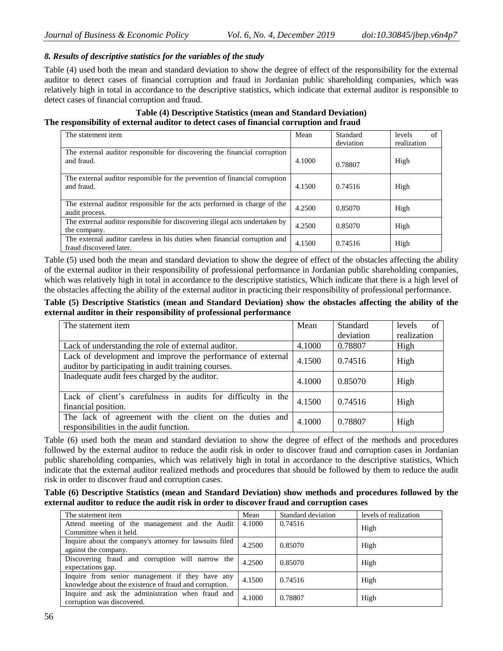### *8. Results of descriptive statistics for the variables of the study*

Table (4) used both the mean and standard deviation to show the degree of effect of the responsibility for the external auditor to detect cases of financial corruption and fraud in Jordanian public shareholding companies, which was relatively high in total in accordance to the descriptive statistics, which indicate that external auditor is responsible to detect cases of financial corruption and fraud.

### **Table (4) Descriptive Statistics (mean and Standard Deviation) The responsibility of external auditor to detect cases of financial corruption and fraud**

| The statement item                                                                                   | Mean   | Standard  | levels<br>of |
|------------------------------------------------------------------------------------------------------|--------|-----------|--------------|
|                                                                                                      |        |           |              |
|                                                                                                      |        | deviation | realization  |
| The external auditor responsible for discovering the financial corruption<br>and fraud.              | 4.1000 | 0.78807   | High         |
| The external auditor responsible for the prevention of financial corruption<br>and fraud.            | 4.1500 | 0.74516   | High         |
| The external auditor responsible for the acts performed in charge of the<br>audit process.           | 4.2500 | 0.85070   | High         |
| The external auditor responsible for discovering illegal acts undertaken by<br>the company.          | 4.2500 | 0.85070   | High         |
| The external auditor careless in his duties when financial corruption and<br>fraud discovered later. | 4.1500 | 0.74516   | High         |

Table (5) used both the mean and standard deviation to show the degree of effect of the obstacles affecting the ability of the external auditor in their responsibility of professional performance in Jordanian public shareholding companies, which was relatively high in total in accordance to the descriptive statistics, Which indicate that there is a high level of the obstacles affecting the ability of the external auditor in practicing their responsibility of professional performance.

### **Table (5) Descriptive Statistics (mean and Standard Deviation) show the obstacles affecting the ability of the external auditor in their responsibility of professional performance**

| The statement item                                                                                                 | Mean   | <b>Standard</b> | levels<br>of |
|--------------------------------------------------------------------------------------------------------------------|--------|-----------------|--------------|
|                                                                                                                    |        | deviation       | realization  |
| Lack of understanding the role of external auditor.                                                                | 4.1000 | 0.78807         | High         |
| Lack of development and improve the performance of external<br>auditor by participating in audit training courses. | 4.1500 | 0.74516         | High         |
| Inadequate audit fees charged by the auditor.                                                                      | 4.1000 | 0.85070         | High         |
| Lack of client's carefulness in audits for difficulty in the<br>financial position.                                | 4.1500 | 0.74516         | High         |
| The lack of agreement with the client on the duties and<br>responsibilities in the audit function.                 | 4.1000 | 0.78807         | High         |

Table (6) used both the mean and standard deviation to show the degree of effect of the methods and procedures followed by the external auditor to reduce the audit risk in order to discover fraud and corruption cases in Jordanian public shareholding companies, which was relatively high in total in accordance to the descriptive statistics, Which indicate that the external auditor realized methods and procedures that should be followed by them to reduce the audit risk in order to discover fraud and corruption cases.

### **Table (6) Descriptive Statistics (mean and Standard Deviation) show methods and procedures followed by the external auditor to reduce the audit risk in order to discover fraud and corruption cases**

| The statement item                                      | Mean   | Standard deviation | levels of realization |
|---------------------------------------------------------|--------|--------------------|-----------------------|
| Attend meeting of the management and the Audit          | 4.1000 | 0.74516            | High                  |
| Committee when it held.                                 |        |                    |                       |
| Inquire about the company's attorney for lawsuits filed | 4.2500 | 0.85070            | High                  |
| against the company.                                    |        |                    |                       |
| Discovering fraud and corruption will narrow the        | 4.2500 | 0.85070            | High                  |
| expectations gap.                                       |        |                    |                       |
| Inquire from senior management if they have any         | 4.1500 | 0.74516            | High                  |
| knowledge about the existence of fraud and corruption.  |        |                    |                       |
| Inquire and ask the administration when fraud and       | 4.1000 | 0.78807            | High                  |
| corruption was discovered.                              |        |                    |                       |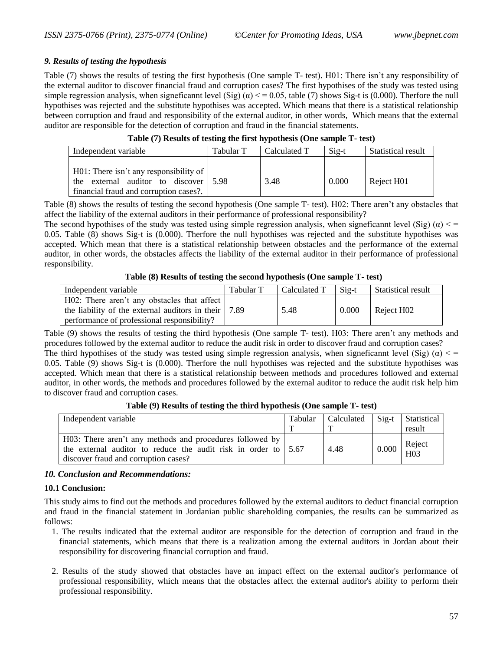### *9. Results of testing the hypothesis*

Table (7) shows the results of testing the first hypothesis (One sample T- test). H01: There isn't any responsibility of the external auditor to discover financial fraud and corruption cases? The first hypothises of the study was tested using simple regression analysis, when signeficannt level (Sig)  $(\alpha) < 0.05$ , table (7) shows Sig-t is (0.000). Therfore the null hypothises was rejected and the substitute hypothises was accepted. Which means that there is a statistical relationship between corruption and fraud and responsibility of the external auditor, in other words, Which means that the external auditor are responsible for the detection of corruption and fraud in the financial statements.

| Independent variable                                                                                                                          | Tabular T | Calculated T | Sig-t | <b>Statistical result</b> |
|-----------------------------------------------------------------------------------------------------------------------------------------------|-----------|--------------|-------|---------------------------|
| $H01$ : There isn't any responsibility of<br>the external auditor to discover $\frac{15.98}{20.55}$<br>financial fraud and corruption cases?. |           | 3.48         | 0.000 | Reject H01                |

Table (8) shows the results of testing the second hypothesis (One sample T- test). H02: There aren't any obstacles that affect the liability of the external auditors in their performance of professional responsibility?

The second hypothises of the study was tested using simple regression analysis, when signeficannt level (Sig) ( $\alpha$ ) < = 0.05. Table (8) shows Sig-t is (0.000). Therfore the null hypothises was rejected and the substitute hypothises was accepted. Which mean that there is a statistical relationship between obstacles and the performance of the external auditor, in other words, the obstacles affects the liability of the external auditor in their performance of professional responsibility.

#### **Table (8) Results of testing the second hypothesis (One sample T- test)**

| Independent variable                                               | Tabular T | Calculated T | $Si2-t$ | <b>Statistical result</b> |
|--------------------------------------------------------------------|-----------|--------------|---------|---------------------------|
| H02: There aren't any obstacles that affect                        |           |              |         |                           |
| the liability of the external auditors in their $\vert 7.89 \vert$ |           | 5.48         | 0.000   | Reject H02                |
| performance of professional responsibility?                        |           |              |         |                           |

Table (9) shows the results of testing the third hypothesis (One sample T- test). H03: There aren't any methods and procedures followed by the external auditor to reduce the audit risk in order to discover fraud and corruption cases? The third hypothises of the study was tested using simple regression analysis, when signeficannt level (Sig) ( $\alpha$ ) < = 0.05. Table (9) shows Sig-t is (0.000). Therfore the null hypothises was rejected and the substitute hypothises was accepted. Which mean that there is a statistical relationship between methods and procedures followed and external auditor, in other words, the methods and procedures followed by the external auditor to reduce the audit risk help him to discover fraud and corruption cases.

**Table (9) Results of testing the third hypothesis (One sample T- test)**

| Independent variable                                                                                                                                                             | Tabular | <b>Calculated</b> | $Sig-t$ | Statistical<br>result     |
|----------------------------------------------------------------------------------------------------------------------------------------------------------------------------------|---------|-------------------|---------|---------------------------|
| H03: There aren't any methods and procedures followed by<br>the external auditor to reduce the audit risk in order to $\vert 5.67 \vert$<br>discover fraud and corruption cases? |         | 4.48              | 0.000   | Reject<br>H <sub>03</sub> |

### *10. Conclusion and Recommendations:*

#### **10.1 Conclusion:**

This study aims to find out the methods and procedures followed by the external auditors to deduct financial corruption and fraud in the financial statement in Jordanian public shareholding companies, the results can be summarized as follows:

- 1. The results indicated that the external auditor are responsible for the detection of corruption and fraud in the financial statements, which means that there is a realization among the external auditors in Jordan about their responsibility for discovering financial corruption and fraud.
- 2. Results of the study showed that obstacles have an impact effect on the external auditor's performance of professional responsibility, which means that the obstacles affect the external auditor's ability to perform their professional responsibility.